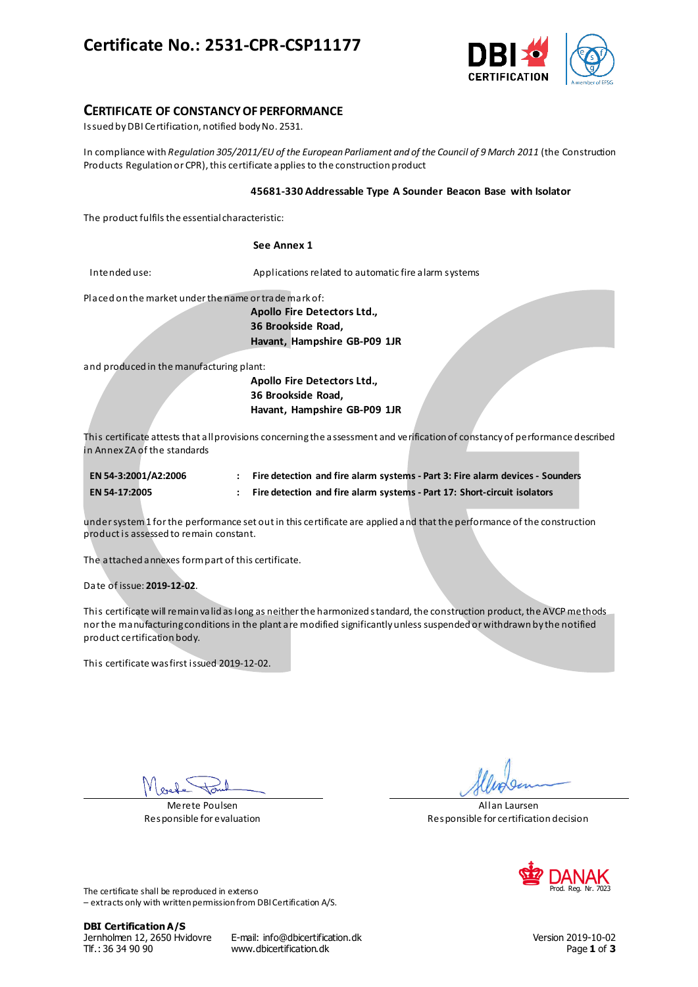# **Certificate No.: 2531-CPR-CSP11177**



### **CERTIFICATE OF CONSTANCY OF PERFORMANCE**

Issued by DBI Certification, notified body No. 2531.

In compliance with *Regulation 305/2011/EU of the European Parliament and of the Council of 9 March 2011* (the Construction Products Regulation or CPR), this certificate applies to the construction product

#### **45681-330 Addressable Type A Sounder Beacon Base with Isolator**

The product fulfils the essential characteristic:

#### **See Annex 1**

Intended use: Applications related to automatic fire alarm systems

Placed on the market under the name or trade mark of:

**Apollo Fire Detectors Ltd., 36 Brookside Road, Havant, Hampshire GB-P09 1JR**

and produced in the manufacturing plant:

**Apollo Fire Detectors Ltd., 36 Brookside Road, Havant, Hampshire GB-P09 1JR**

This certificate attests that all provisions concerning the assessment and verification of constancy of performance described in Annex ZA of the standards

| EN 54-3:2001/A2:2006 | Fire detection and fire alarm systems - Part 3: Fire alarm devices - Sounders |
|----------------------|-------------------------------------------------------------------------------|
| <b>EN 54-17:2005</b> | Fire detection and fire alarm systems - Part 17: Short-circuit isolators      |

under system 1 for the performance set out in this certificate are applied and that the performance of the construction product is assessed to remain constant.

The attached annexes form part of this certificate.

Date of issue: **2019-12-02**.

This certificate will remain valid as long as neither the harmonized standard, the construction product, the AVCP methods nor the manufacturing conditions in the plant are modified significantly unless suspended or withdrawn by the notified product certification body.

This certificate was first issued 2019-12-02.

Merete Poulsen Responsible for evaluation

Allan Laursen Responsible for certification decision



The certificate shall be reproduced in extenso – extracts only with written permission from DBI Certification A/S.

**DBI Certification A/S**

Jernholmen 12, 2650 Hvidovre E-mail: info@dbicertification.dk Version 2019-10-02 Tlf.: 36 34 90 90 www.dbicertification.dk Page **1** of **3**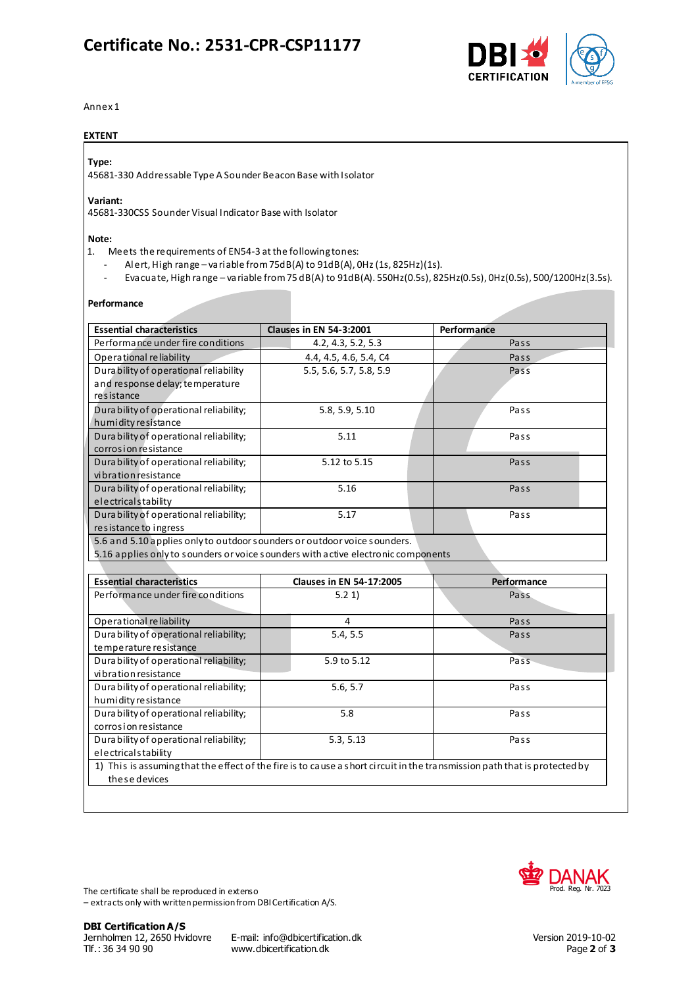# **Certificate No.: 2531-CPR-CSP11177**



Annex 1

#### **EXTENT**

#### **Type:**

45681-330 Addressable Type A Sounder Beacon Base with Isolator

## **Variant:**

45681-330CSS Sounder Visual Indicator Base with Isolator

#### **Note:**

- 1. Meets the requirements of EN54-3 at the following tones:
	- Alert, High range variable from 75dB(A) to 91dB(A), 0Hz (1s, 825Hz)(1s).
	- Evacuate, High range variable from 75 dB(A) to 91dB(A). 550Hz(0.5s), 825Hz(0.5s), 0Hz(0.5s), 500/1200Hz(3.5s).

#### **Performance**

| <b>Essential characteristics</b>                                         | <b>Clauses in EN 54-3:2001</b>                                                                                            | Performance |
|--------------------------------------------------------------------------|---------------------------------------------------------------------------------------------------------------------------|-------------|
| Performance under fire conditions                                        | 4.2, 4.3, 5.2, 5.3                                                                                                        | Pass        |
| Operational reliability                                                  | 4.4, 4.5, 4.6, 5.4, C4                                                                                                    | Pass        |
| Dura bility of operational reliability                                   | 5.5, 5.6, 5.7, 5.8, 5.9                                                                                                   | Pass        |
| and response delay; temperature                                          |                                                                                                                           |             |
| resistance                                                               |                                                                                                                           |             |
| Durability of operational reliability;                                   | 5.8, 5.9, 5.10                                                                                                            | Pass        |
| humidity resistance                                                      |                                                                                                                           |             |
| Durability of operational reliability;                                   | 5.11                                                                                                                      | Pass        |
| corrosion resistance                                                     |                                                                                                                           |             |
| Durability of operational reliability;                                   | 5.12 to 5.15                                                                                                              | Pass        |
| vibration resistance                                                     |                                                                                                                           |             |
| Durability of operational reliability;                                   | 5.16                                                                                                                      | Pass        |
| electricalstability                                                      |                                                                                                                           |             |
| Durability of operational reliability;                                   | 5.17                                                                                                                      | Pass        |
| resistance to ingress                                                    |                                                                                                                           |             |
| 5.6 and 5.10 applies only to outdoor sounders or outdoor voice sounders. |                                                                                                                           |             |
|                                                                          | 5.16 applies only to sounders or voice sounders with active electronic components                                         |             |
|                                                                          |                                                                                                                           |             |
| <b>Essential characteristics</b>                                         | <b>Clauses in EN 54-17:2005</b>                                                                                           | Performance |
| Performance under fire conditions                                        | 5.21                                                                                                                      | Pass        |
|                                                                          |                                                                                                                           |             |
| Operational reliability                                                  | 4                                                                                                                         | Pass        |
| Durability of operational reliability;                                   | 5.4, 5.5                                                                                                                  | Pass        |
| temperature resistance                                                   |                                                                                                                           |             |
| Durability of operational reliability;                                   | 5.9 to 5.12                                                                                                               | Pass        |
| vibration resistance                                                     |                                                                                                                           |             |
| Durability of operational reliability;                                   | 5.6, 5.7                                                                                                                  | Pass        |
| humi dity resistance                                                     |                                                                                                                           |             |
| Dura bility of operational reliability;                                  | 5.8                                                                                                                       | Pass        |
| corrosion resistance                                                     |                                                                                                                           |             |
|                                                                          | 5.3, 5.13                                                                                                                 | Pass        |
| Durability of operational reliability;                                   |                                                                                                                           |             |
| electricalstability                                                      |                                                                                                                           |             |
|                                                                          | 1) This is assuming that the effect of the fire is to cause a short circuit in the transmission path that is protected by |             |

The certificate shall be reproduced in extenso – extracts only with written permission from DBI Certification A/S.



Jernholmen 12, 2650 Hvidovre E-mail: info@dbicertification.dk Version 2019-10-02 www.dbicertification.dk Page 2 of 3